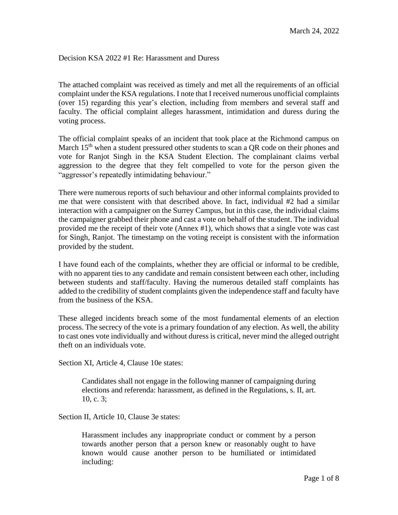## Decision KSA 2022 #1 Re: Harassment and Duress

The attached complaint was received as timely and met all the requirements of an official complaint under the KSA regulations. I note that I received numerous unofficial complaints (over 15) regarding this year's election, including from members and several staff and faculty. The official complaint alleges harassment, intimidation and duress during the voting process.

The official complaint speaks of an incident that took place at the Richmond campus on March 15<sup>th</sup> when a student pressured other students to scan a QR code on their phones and vote for Ranjot Singh in the KSA Student Election. The complainant claims verbal aggression to the degree that they felt compelled to vote for the person given the "aggressor's repeatedly intimidating behaviour."

There were numerous reports of such behaviour and other informal complaints provided to me that were consistent with that described above. In fact, individual #2 had a similar interaction with a campaigner on the Surrey Campus, but in this case, the individual claims the campaigner grabbed their phone and cast a vote on behalf of the student. The individual provided me the receipt of their vote (Annex #1), which shows that a single vote was cast for Singh, Ranjot. The timestamp on the voting receipt is consistent with the information provided by the student.

I have found each of the complaints, whether they are official or informal to be credible, with no apparent ties to any candidate and remain consistent between each other, including between students and staff/faculty. Having the numerous detailed staff complaints has added to the credibility of student complaints given the independence staff and faculty have from the business of the KSA.

These alleged incidents breach some of the most fundamental elements of an election process. The secrecy of the vote is a primary foundation of any election. As well, the ability to cast ones vote individually and without duress is critical, never mind the alleged outright theft on an individuals vote.

Section XI, Article 4, Clause 10e states:

Candidates shall not engage in the following manner of campaigning during elections and referenda: harassment, as defined in the Regulations, s. II, art. 10, c. 3;

Section II, Article 10, Clause 3e states:

Harassment includes any inappropriate conduct or comment by a person towards another person that a person knew or reasonably ought to have known would cause another person to be humiliated or intimidated including: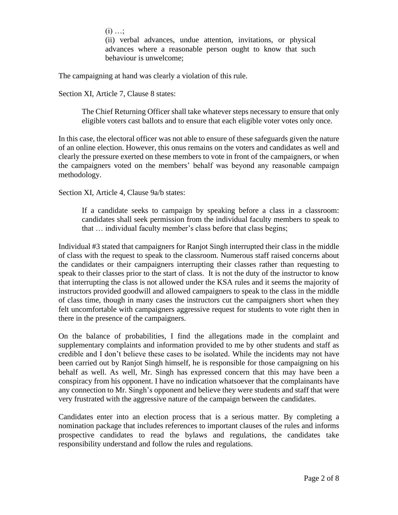$(i)$  ...;

(ii) verbal advances, undue attention, invitations, or physical advances where a reasonable person ought to know that such behaviour is unwelcome;

The campaigning at hand was clearly a violation of this rule.

Section XI, Article 7, Clause 8 states:

The Chief Returning Officer shall take whatever steps necessary to ensure that only eligible voters cast ballots and to ensure that each eligible voter votes only once.

In this case, the electoral officer was not able to ensure of these safeguards given the nature of an online election. However, this onus remains on the voters and candidates as well and clearly the pressure exerted on these members to vote in front of the campaigners, or when the campaigners voted on the members' behalf was beyond any reasonable campaign methodology.

Section XI, Article 4, Clause 9a/b states:

If a candidate seeks to campaign by speaking before a class in a classroom: candidates shall seek permission from the individual faculty members to speak to that … individual faculty member's class before that class begins;

Individual #3 stated that campaigners for Ranjot Singh interrupted their class in the middle of class with the request to speak to the classroom. Numerous staff raised concerns about the candidates or their campaigners interrupting their classes rather than requesting to speak to their classes prior to the start of class. It is not the duty of the instructor to know that interrupting the class is not allowed under the KSA rules and it seems the majority of instructors provided goodwill and allowed campaigners to speak to the class in the middle of class time, though in many cases the instructors cut the campaigners short when they felt uncomfortable with campaigners aggressive request for students to vote right then in there in the presence of the campaigners.

On the balance of probabilities, I find the allegations made in the complaint and supplementary complaints and information provided to me by other students and staff as credible and I don't believe these cases to be isolated. While the incidents may not have been carried out by Ranjot Singh himself, he is responsible for those campaigning on his behalf as well. As well, Mr. Singh has expressed concern that this may have been a conspiracy from his opponent. I have no indication whatsoever that the complainants have any connection to Mr. Singh's opponent and believe they were students and staff that were very frustrated with the aggressive nature of the campaign between the candidates.

Candidates enter into an election process that is a serious matter. By completing a nomination package that includes references to important clauses of the rules and informs prospective candidates to read the bylaws and regulations, the candidates take responsibility understand and follow the rules and regulations.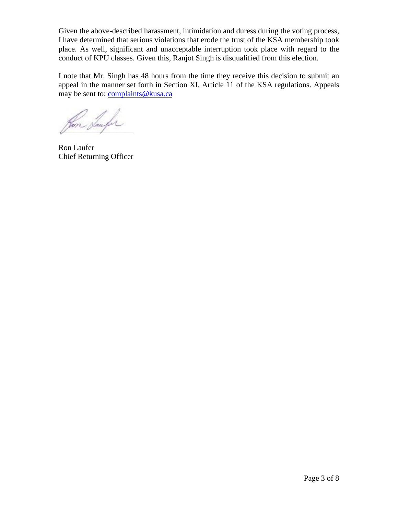Given the above-described harassment, intimidation and duress during the voting process, I have determined that serious violations that erode the trust of the KSA membership took place. As well, significant and unacceptable interruption took place with regard to the conduct of KPU classes. Given this, Ranjot Singh is disqualified from this election.

I note that Mr. Singh has 48 hours from the time they receive this decision to submit an appeal in the manner set forth in Section XI, Article 11 of the KSA regulations. Appeals may be sent to: [complaints@kusa.ca](mailto:complaints@kusa.ca)

 $\chi_{\text{unstr}}$ 

Ron Laufer Chief Returning Officer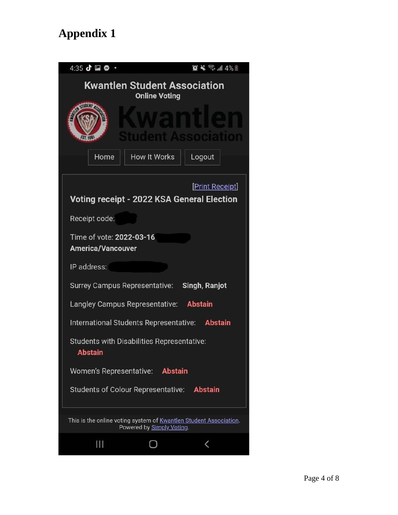## **Appendix 1**

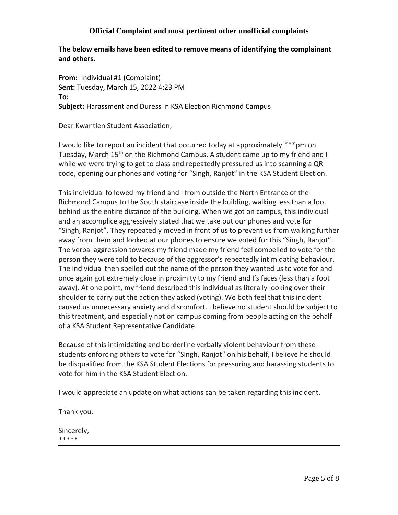## **Official Complaint and most pertinent other unofficial complaints**

**The below emails have been edited to remove means of identifying the complainant and others.**

**From:** Individual #1 (Complaint) **Sent:** Tuesday, March 15, 2022 4:23 PM **To: Subject:** Harassment and Duress in KSA Election Richmond Campus

Dear Kwantlen Student Association,

I would like to report an incident that occurred today at approximately \*\*\*pm on Tuesday, March 15<sup>th</sup> on the Richmond Campus. A student came up to my friend and I while we were trying to get to class and repeatedly pressured us into scanning a QR code, opening our phones and voting for "Singh, Ranjot" in the KSA Student Election.

This individual followed my friend and I from outside the North Entrance of the Richmond Campus to the South staircase inside the building, walking less than a foot behind us the entire distance of the building. When we got on campus, this individual and an accomplice aggressively stated that we take out our phones and vote for "Singh, Ranjot". They repeatedly moved in front of us to prevent us from walking further away from them and looked at our phones to ensure we voted for this "Singh, Ranjot". The verbal aggression towards my friend made my friend feel compelled to vote for the person they were told to because of the aggressor's repeatedly intimidating behaviour. The individual then spelled out the name of the person they wanted us to vote for and once again got extremely close in proximity to my friend and I's faces (less than a foot away). At one point, my friend described this individual as literally looking over their shoulder to carry out the action they asked (voting). We both feel that this incident caused us unnecessary anxiety and discomfort. I believe no student should be subject to this treatment, and especially not on campus coming from people acting on the behalf of a KSA Student Representative Candidate.

Because of this intimidating and borderline verbally violent behaviour from these students enforcing others to vote for "Singh, Ranjot" on his behalf, I believe he should be disqualified from the KSA Student Elections for pressuring and harassing students to vote for him in the KSA Student Election.

I would appreciate an update on what actions can be taken regarding this incident.

Thank you.

Sincerely, \*\*\*\*\*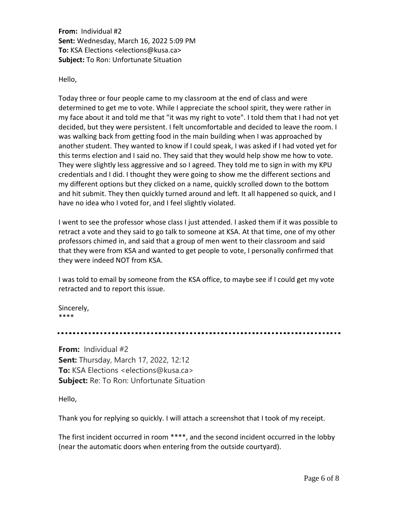**From:** Individual #2 **Sent:** Wednesday, March 16, 2022 5:09 PM **To:** KSA Elections <elections@kusa.ca> **Subject:** To Ron: Unfortunate Situation

Hello,

Today three or four people came to my classroom at the end of class and were determined to get me to vote. While I appreciate the school spirit, they were rather in my face about it and told me that "it was my right to vote". I told them that I had not yet decided, but they were persistent. I felt uncomfortable and decided to leave the room. I was walking back from getting food in the main building when I was approached by another student. They wanted to know if I could speak, I was asked if I had voted yet for this terms election and I said no. They said that they would help show me how to vote. They were slightly less aggressive and so I agreed. They told me to sign in with my KPU credentials and I did. I thought they were going to show me the different sections and my different options but they clicked on a name, quickly scrolled down to the bottom and hit submit. They then quickly turned around and left. It all happened so quick, and I have no idea who I voted for, and I feel slightly violated.

I went to see the professor whose class I just attended. I asked them if it was possible to retract a vote and they said to go talk to someone at KSA. At that time, one of my other professors chimed in, and said that a group of men went to their classroom and said that they were from KSA and wanted to get people to vote, I personally confirmed that they were indeed NOT from KSA.

I was told to email by someone from the KSA office, to maybe see if I could get my vote retracted and to report this issue.

Sincerely, \*\*\*\*

**From:** Individual #2 **Sent:** Thursday, March 17, 2022, 12:12 **To:** KSA Elections <elections@kusa.ca> **Subject:** Re: To Ron: Unfortunate Situation

Hello,

Thank you for replying so quickly. I will attach a screenshot that I took of my receipt.

The first incident occurred in room \*\*\*\*, and the second incident occurred in the lobby (near the automatic doors when entering from the outside courtyard).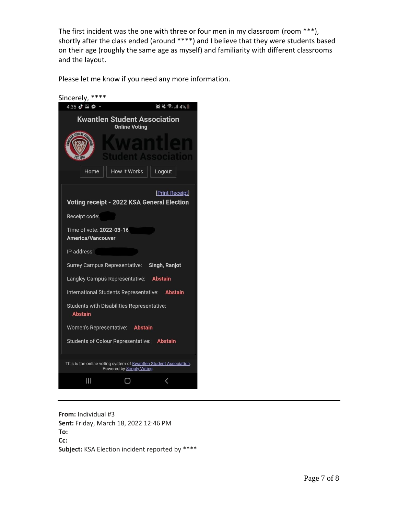The first incident was the one with three or four men in my classroom (room \*\*\*), shortly after the class ended (around \*\*\*\*) and I believe that they were students based on their age (roughly the same age as myself) and familiarity with different classrooms and the layout.

Please let me know if you need any more information.

| Sincerely,<br>****                                                                             |
|------------------------------------------------------------------------------------------------|
| 4:35 ♂ 2 ◎<br>$\mathbf{Q} \leq \mathbb{R}$ $\mathbf{R}$ $\mathbf{R}$                           |
| <b>Kwantlen Student Association</b><br><b>Online Voting</b>                                    |
| 550 M S                                                                                        |
| <b>How It Works</b><br>Home<br>Logout                                                          |
| <b>Print Receipt]</b><br>Voting receipt - 2022 KSA General Election                            |
| Receipt code:                                                                                  |
| Time of vote: 2022-03-16<br><b>America/Vancouver</b>                                           |
| IP address:                                                                                    |
| Surrey Campus Representative: Singh, Ranjot                                                    |
| Langley Campus Representative: Abstain                                                         |
| International Students Representative: Abstain                                                 |
| <b>Students with Disabilities Representative:</b><br><b>Abstain</b>                            |
| Women's Representative: Abstain                                                                |
| Students of Colour Representative: Abstain                                                     |
| This is the online voting system of Kwantlen Student Association.<br>Powered by Simply Voting. |
| Ш                                                                                              |

**From:** Individual #3 **Sent:** Friday, March 18, 2022 12:46 PM **To: Cc: Subject:** KSA Election incident reported by \*\*\*\*